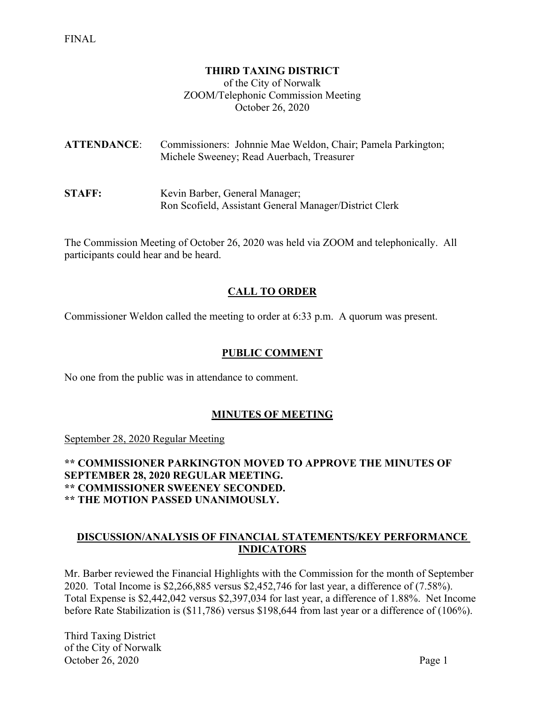#### **THIRD TAXING DISTRICT**

of the City of Norwalk ZOOM/Telephonic Commission Meeting October 26, 2020

**ATTENDANCE**: Commissioners: Johnnie Mae Weldon, Chair; Pamela Parkington; Michele Sweeney; Read Auerbach, Treasurer

**STAFF:** Kevin Barber, General Manager; Ron Scofield, Assistant General Manager/District Clerk

The Commission Meeting of October 26, 2020 was held via ZOOM and telephonically. All participants could hear and be heard.

### **CALL TO ORDER**

Commissioner Weldon called the meeting to order at 6:33 p.m. A quorum was present.

#### **PUBLIC COMMENT**

No one from the public was in attendance to comment.

#### **MINUTES OF MEETING**

September 28, 2020 Regular Meeting

**\*\* COMMISSIONER PARKINGTON MOVED TO APPROVE THE MINUTES OF SEPTEMBER 28, 2020 REGULAR MEETING. \*\* COMMISSIONER SWEENEY SECONDED. \*\* THE MOTION PASSED UNANIMOUSLY.**

#### **DISCUSSION/ANALYSIS OF FINANCIAL STATEMENTS/KEY PERFORMANCE INDICATORS**

Mr. Barber reviewed the Financial Highlights with the Commission for the month of September 2020. Total Income is \$2,266,885 versus \$2,452,746 for last year, a difference of (7.58%). Total Expense is \$2,442,042 versus \$2,397,034 for last year, a difference of 1.88%. Net Income before Rate Stabilization is (\$11,786) versus \$198,644 from last year or a difference of (106%).

Third Taxing District of the City of Norwalk October 26, 2020 Page 1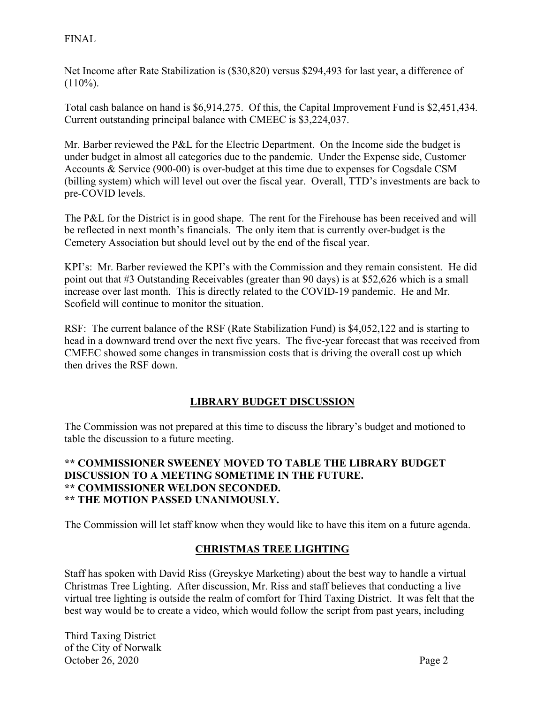## FINAL

Net Income after Rate Stabilization is (\$30,820) versus \$294,493 for last year, a difference of  $(110\%).$ 

Total cash balance on hand is \$6,914,275. Of this, the Capital Improvement Fund is \$2,451,434. Current outstanding principal balance with CMEEC is \$3,224,037.

Mr. Barber reviewed the P&L for the Electric Department. On the Income side the budget is under budget in almost all categories due to the pandemic. Under the Expense side, Customer Accounts & Service (900-00) is over-budget at this time due to expenses for Cogsdale CSM (billing system) which will level out over the fiscal year. Overall, TTD's investments are back to pre-COVID levels.

The P&L for the District is in good shape. The rent for the Firehouse has been received and will be reflected in next month's financials. The only item that is currently over-budget is the Cemetery Association but should level out by the end of the fiscal year.

KPI's: Mr. Barber reviewed the KPI's with the Commission and they remain consistent. He did point out that #3 Outstanding Receivables (greater than 90 days) is at \$52,626 which is a small increase over last month. This is directly related to the COVID-19 pandemic. He and Mr. Scofield will continue to monitor the situation.

RSF: The current balance of the RSF (Rate Stabilization Fund) is \$4,052,122 and is starting to head in a downward trend over the next five years. The five-year forecast that was received from CMEEC showed some changes in transmission costs that is driving the overall cost up which then drives the RSF down.

# **LIBRARY BUDGET DISCUSSION**

The Commission was not prepared at this time to discuss the library's budget and motioned to table the discussion to a future meeting.

### **\*\* COMMISSIONER SWEENEY MOVED TO TABLE THE LIBRARY BUDGET DISCUSSION TO A MEETING SOMETIME IN THE FUTURE. \*\* COMMISSIONER WELDON SECONDED. \*\* THE MOTION PASSED UNANIMOUSLY.**

The Commission will let staff know when they would like to have this item on a future agenda.

# **CHRISTMAS TREE LIGHTING**

Staff has spoken with David Riss (Greyskye Marketing) about the best way to handle a virtual Christmas Tree Lighting. After discussion, Mr. Riss and staff believes that conducting a live virtual tree lighting is outside the realm of comfort for Third Taxing District. It was felt that the best way would be to create a video, which would follow the script from past years, including

Third Taxing District of the City of Norwalk October 26, 2020 Page 2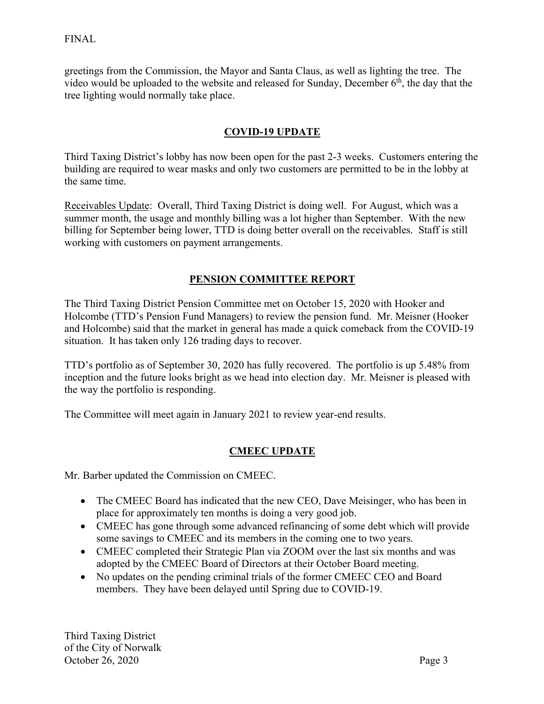greetings from the Commission, the Mayor and Santa Claus, as well as lighting the tree. The video would be uploaded to the website and released for Sunday, December 6th, the day that the tree lighting would normally take place.

# **COVID-19 UPDATE**

Third Taxing District's lobby has now been open for the past 2-3 weeks. Customers entering the building are required to wear masks and only two customers are permitted to be in the lobby at the same time.

Receivables Update: Overall, Third Taxing District is doing well. For August, which was a summer month, the usage and monthly billing was a lot higher than September. With the new billing for September being lower, TTD is doing better overall on the receivables. Staff is still working with customers on payment arrangements.

# **PENSION COMMITTEE REPORT**

The Third Taxing District Pension Committee met on October 15, 2020 with Hooker and Holcombe (TTD's Pension Fund Managers) to review the pension fund. Mr. Meisner (Hooker and Holcombe) said that the market in general has made a quick comeback from the COVID-19 situation. It has taken only 126 trading days to recover.

TTD's portfolio as of September 30, 2020 has fully recovered. The portfolio is up 5.48% from inception and the future looks bright as we head into election day. Mr. Meisner is pleased with the way the portfolio is responding.

The Committee will meet again in January 2021 to review year-end results.

# **CMEEC UPDATE**

Mr. Barber updated the Commission on CMEEC.

- The CMEEC Board has indicated that the new CEO, Dave Meisinger, who has been in place for approximately ten months is doing a very good job.
- CMEEC has gone through some advanced refinancing of some debt which will provide some savings to CMEEC and its members in the coming one to two years.
- CMEEC completed their Strategic Plan via ZOOM over the last six months and was adopted by the CMEEC Board of Directors at their October Board meeting.
- No updates on the pending criminal trials of the former CMEEC CEO and Board members. They have been delayed until Spring due to COVID-19.

Third Taxing District of the City of Norwalk October 26, 2020 Page 3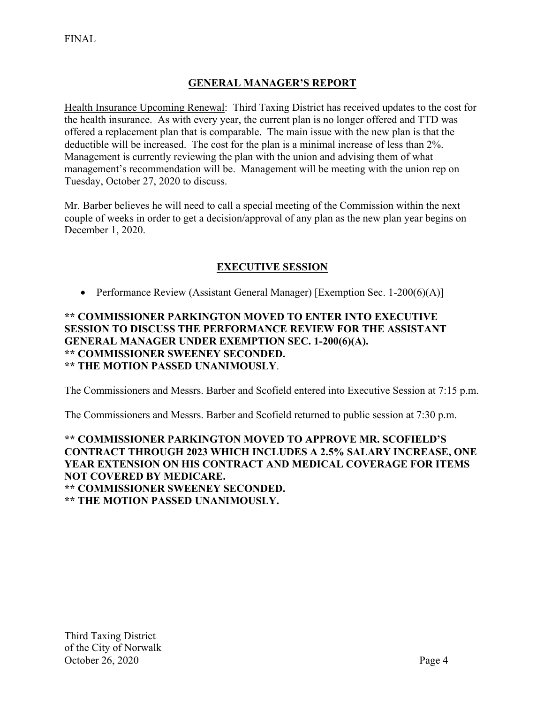# **GENERAL MANAGER'S REPORT**

Health Insurance Upcoming Renewal: Third Taxing District has received updates to the cost for the health insurance. As with every year, the current plan is no longer offered and TTD was offered a replacement plan that is comparable. The main issue with the new plan is that the deductible will be increased. The cost for the plan is a minimal increase of less than 2%. Management is currently reviewing the plan with the union and advising them of what management's recommendation will be. Management will be meeting with the union rep on Tuesday, October 27, 2020 to discuss.

Mr. Barber believes he will need to call a special meeting of the Commission within the next couple of weeks in order to get a decision/approval of any plan as the new plan year begins on December 1, 2020.

# **EXECUTIVE SESSION**

• Performance Review (Assistant General Manager) [Exemption Sec. 1-200(6)(A)]

### **\*\* COMMISSIONER PARKINGTON MOVED TO ENTER INTO EXECUTIVE SESSION TO DISCUSS THE PERFORMANCE REVIEW FOR THE ASSISTANT GENERAL MANAGER UNDER EXEMPTION SEC. 1-200(6)(A). \*\* COMMISSIONER SWEENEY SECONDED. \*\* THE MOTION PASSED UNANIMOUSLY**.

The Commissioners and Messrs. Barber and Scofield entered into Executive Session at 7:15 p.m.

The Commissioners and Messrs. Barber and Scofield returned to public session at 7:30 p.m.

### **\*\* COMMISSIONER PARKINGTON MOVED TO APPROVE MR. SCOFIELD'S CONTRACT THROUGH 2023 WHICH INCLUDES A 2.5% SALARY INCREASE, ONE YEAR EXTENSION ON HIS CONTRACT AND MEDICAL COVERAGE FOR ITEMS NOT COVERED BY MEDICARE. \*\* COMMISSIONER SWEENEY SECONDED. \*\* THE MOTION PASSED UNANIMOUSLY.**